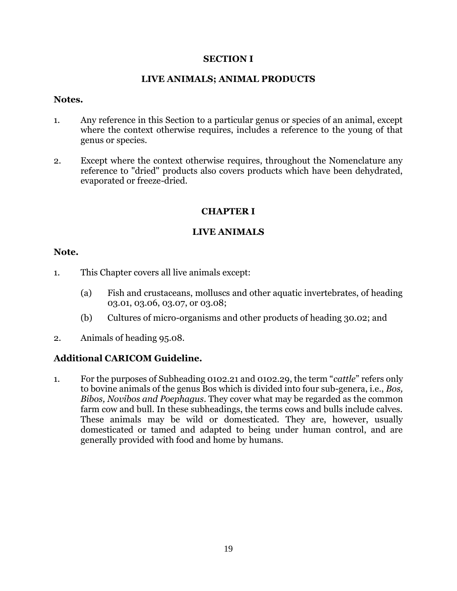## **SECTION I**

## **LIVE ANIMALS; ANIMAL PRODUCTS**

#### **Notes.**

- 1. Any reference in this Section to a particular genus or species of an animal, except where the context otherwise requires, includes a reference to the young of that genus or species.
- 2. Except where the context otherwise requires, throughout the Nomenclature any reference to "dried" products also covers products which have been dehydrated, evaporated or freeze-dried.

# **CHAPTER I**

# **LIVE ANIMALS**

## **Note.**

- 1. This Chapter covers all live animals except:
	- (a) Fish and crustaceans, molluscs and other aquatic invertebrates, of heading 03.01, 03.06, 03.07, or 03.08;
	- (b) Cultures of micro-organisms and other products of heading 30.02; and
- 2. Animals of heading 95.08.

# **Additional CARICOM Guideline.**

1. For the purposes of Subheading 0102.21 and 0102.29, the term "*cattle*" refers only to bovine animals of the genus Bos which is divided into four sub-genera, i.e., *Bos, Bibos, Novibos and Poephagus*. They cover what may be regarded as the common farm cow and bull. In these subheadings, the terms cows and bulls include calves. These animals may be wild or domesticated. They are, however, usually domesticated or tamed and adapted to being under human control, and are generally provided with food and home by humans.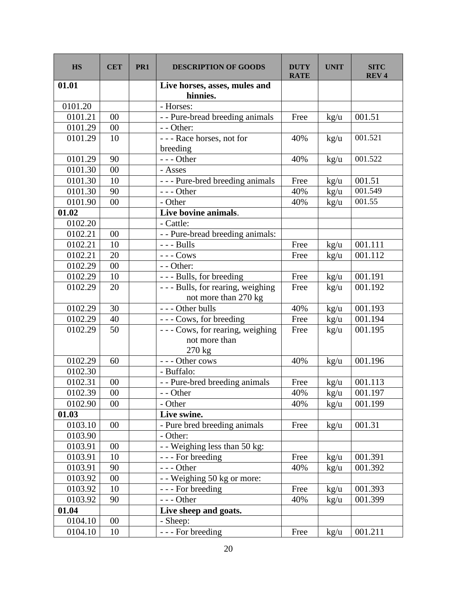| <b>HS</b> | <b>CET</b> | PR <sub>1</sub> | <b>DESCRIPTION OF GOODS</b>                                  | <b>DUTY</b><br><b>RATE</b> | <b>UNIT</b>   | <b>SITC</b><br><b>REV4</b> |
|-----------|------------|-----------------|--------------------------------------------------------------|----------------------------|---------------|----------------------------|
| 01.01     |            |                 | Live horses, asses, mules and<br>hinnies.                    |                            |               |                            |
| 0101.20   |            |                 | - Horses:                                                    |                            |               |                            |
| 0101.21   | 00         |                 | - - Pure-bread breeding animals                              | Free                       | kg/u          | 001.51                     |
| 0101.29   | $00\,$     |                 | - - Other:                                                   |                            |               |                            |
| 0101.29   | 10         |                 | --- Race horses, not for<br>breeding                         | 40%                        | $\text{kg/u}$ | 001.521                    |
| 0101.29   | 90         |                 | $--$ Other                                                   | 40%                        | kg/u          | 001.522                    |
| 0101.30   | 00         |                 | - Asses                                                      |                            |               |                            |
| 0101.30   | 10         |                 | - - - Pure-bred breeding animals                             | Free                       | kg/u          | 001.51                     |
| 0101.30   | 90         |                 | $--$ Other                                                   | 40%                        | kg/u          | 001.549                    |
| 0101.90   | 00         |                 | - Other                                                      | 40%                        | kg/u          | 001.55                     |
| 01.02     |            |                 | Live bovine animals.                                         |                            |               |                            |
| 0102.20   |            |                 | - Cattle:                                                    |                            |               |                            |
| 0102.21   | 00         |                 | - - Pure-bread breeding animals:                             |                            |               |                            |
| 0102.21   | 10         |                 | $--$ Bulls                                                   | Free                       | kg/u          | 001.111                    |
| 0102.21   | 20         |                 | $---$ Cows                                                   | Free                       | kg/u          | 001.112                    |
| 0102.29   | $00\,$     |                 | - - Other:                                                   |                            |               |                            |
| 0102.29   | 10         |                 | --- Bulls, for breeding                                      | Free                       | kg/u          | 001.191                    |
| 0102.29   | 20         |                 | - - - Bulls, for rearing, weighing<br>not more than 270 kg   | Free                       | kg/u          | 001.192                    |
| 0102.29   | 30         |                 | - - - Other bulls                                            | 40%                        | kg/u          | 001.193                    |
| 0102.29   | 40         |                 | --- Cows, for breeding                                       | Free                       | kg/u          | 001.194                    |
| 0102.29   | 50         |                 | --- Cows, for rearing, weighing<br>not more than<br>$270$ kg | Free                       | kg/u          | 001.195                    |
| 0102.29   | 60         |                 | --- Other cows                                               | 40%                        | $\text{kg/u}$ | 001.196                    |
| 0102.30   |            |                 | - Buffalo:                                                   |                            |               |                            |
| 0102.31   | 00         |                 | - - Pure-bred breeding animals                               | Free                       | kg/u          | 001.113                    |
| 0102.39   | $00\,$     |                 | - - Other                                                    | 40%                        | kg/u          | 001.197                    |
| 0102.90   | 00         |                 | - Other                                                      | 40%                        | kg/u          | 001.199                    |
| 01.03     |            |                 | Live swine.                                                  |                            |               |                            |
| 0103.10   | 00         |                 | - Pure bred breeding animals                                 | Free                       | kg/u          | 001.31                     |
| 0103.90   |            |                 | - Other:                                                     |                            |               |                            |
| 0103.91   | 00         |                 | - - Weighing less than 50 kg:                                |                            |               |                            |
| 0103.91   | 10         |                 | - - - For breeding                                           | Free                       | kg/u          | 001.391                    |
| 0103.91   | 90         |                 | $--$ Other                                                   | 40%                        | kg/u          | 001.392                    |
| 0103.92   | 00         |                 | - - Weighing 50 kg or more:                                  |                            |               |                            |
| 0103.92   | 10         |                 | - - - For breeding                                           | Free                       | kg/u          | 001.393                    |
| 0103.92   | 90         |                 | $--$ Other                                                   | 40%                        | $\text{kg/u}$ | 001.399                    |
| 01.04     |            |                 | Live sheep and goats.                                        |                            |               |                            |
| 0104.10   | 00         |                 | - Sheep:                                                     |                            |               |                            |
| 0104.10   | 10         |                 | - - - For breeding                                           | Free                       | kg/u          | 001.211                    |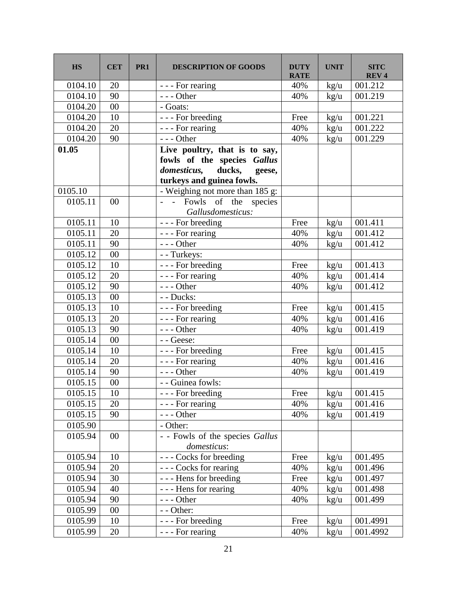| <b>HS</b> | <b>CET</b> | PR1 | <b>DESCRIPTION OF GOODS</b>                                  | <b>DUTY</b><br><b>RATE</b> | <b>UNIT</b>   | <b>SITC</b><br><b>REV4</b> |
|-----------|------------|-----|--------------------------------------------------------------|----------------------------|---------------|----------------------------|
| 0104.10   | 20         |     | - - - For rearing                                            | 40%                        | kg/u          | 001.212                    |
| 0104.10   | 90         |     | $--$ Other                                                   | 40%                        | kg/u          | 001.219                    |
| 0104.20   | 00         |     | - Goats:                                                     |                            |               |                            |
| 0104.20   | 10         |     | - - - For breeding                                           | Free                       | $\text{kg/u}$ | 001.221                    |
| 0104.20   | 20         |     | - - - For rearing                                            | 40%                        | kg/u          | 001.222                    |
| 0104.20   | 90         |     | $--$ Other                                                   | 40%                        | kg/u          | 001.229                    |
| 01.05     |            |     | Live poultry, that is to say,<br>fowls of the species Gallus |                            |               |                            |
|           |            |     | domesticus,<br>ducks,<br>geese,<br>turkeys and guinea fowls. |                            |               |                            |
| 0105.10   |            |     | - Weighing not more than 185 g:                              |                            |               |                            |
| 0105.11   | 00         |     | - - Fowls of the species<br>Gallusdomesticus:                |                            |               |                            |
| 0105.11   | 10         |     | - - - For breeding                                           | Free                       | kg/u          | 001.411                    |
| 0105.11   | 20         |     | - - - For rearing                                            | 40%                        | kg/u          | 001.412                    |
| 0105.11   | 90         |     | $--$ Other                                                   | 40%                        | $\text{kg/u}$ | 001.412                    |
| 0105.12   | $00\,$     |     | - - Turkeys:                                                 |                            |               |                            |
| 0105.12   | 10         |     | - - - For breeding                                           | Free                       | $\text{kg/u}$ | 001.413                    |
| 0105.12   | 20         |     | - - - For rearing                                            | 40%                        | kg/u          | 001.414                    |
| 0105.12   | 90         |     | $--$ Other                                                   | 40%                        | $\text{kg/u}$ | 001.412                    |
| 0105.13   | $00\,$     |     | - - Ducks:                                                   |                            |               |                            |
| 0105.13   | 10         |     | - - - For breeding                                           | Free                       | kg/u          | 001.415                    |
| 0105.13   | 20         |     | - - - For rearing                                            | 40%                        | kg/u          | 001.416                    |
| 0105.13   | 90         |     | $--$ Other                                                   | 40%                        | kg/u          | 001.419                    |
| 0105.14   | $00\,$     |     | - - Geese:                                                   |                            |               |                            |
| 0105.14   | 10         |     | - - - For breeding                                           | Free                       | kg/u          | 001.415                    |
| 0105.14   | 20         |     | - - - For rearing                                            | 40%                        | kg/u          | 001.416                    |
| 0105.14   | 90         |     | $--$ Other                                                   | 40%                        | kg/u          | 001.419                    |
| 0105.15   | $00\,$     |     | - - Guinea fowls:                                            |                            |               |                            |
| 0105.15   | 10         |     | - - - For breeding                                           | Free                       | kg/u          | 001.415                    |
| 0105.15   | 20         |     | - - - For rearing                                            | 40%                        | kg/u          | 001.416                    |
| 0105.15   | 90         |     | $--$ Other                                                   | 40%                        | kg/u          | 001.419                    |
| 0105.90   |            |     | - Other:                                                     |                            |               |                            |
| 0105.94   | 00         |     | - - Fowls of the species Gallus<br>domesticus:               |                            |               |                            |
| 0105.94   | 10         |     | --- Cocks for breeding                                       | Free                       | kg/u          | 001.495                    |
| 0105.94   | 20         |     | --- Cocks for rearing                                        | 40%                        | kg/u          | 001.496                    |
| 0105.94   | 30         |     | --- Hens for breeding                                        | Free                       | kg/u          | 001.497                    |
| 0105.94   | 40         |     | - - - Hens for rearing                                       | 40%                        | kg/u          | 001.498                    |
| 0105.94   | 90         |     | $--$ Other                                                   | 40%                        | $\text{kg/u}$ | 001.499                    |
| 0105.99   | $00\,$     |     | - - Other:                                                   |                            |               |                            |
| 0105.99   | 10         |     | - - - For breeding                                           | Free                       | kg/u          | 001.4991                   |
| 0105.99   | 20         |     | - - - For rearing                                            | 40%                        | kg/u          | 001.4992                   |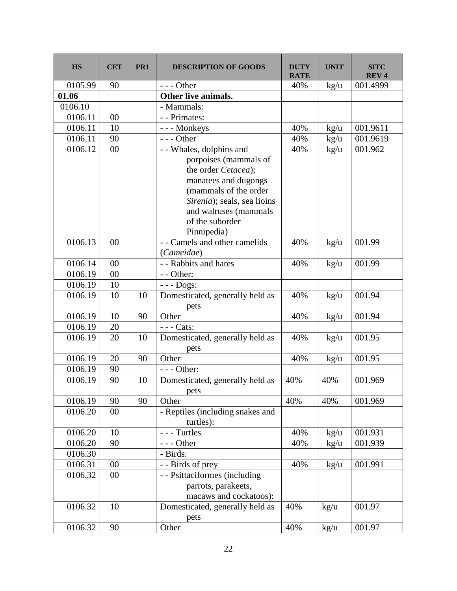| <b>HS</b> | <b>CET</b> | PR <sub>1</sub> | <b>DESCRIPTION OF GOODS</b>                                                                                                                                              | <b>DUTY</b><br><b>RATE</b> | <b>UNIT</b>   | <b>SITC</b><br><b>REV4</b> |
|-----------|------------|-----------------|--------------------------------------------------------------------------------------------------------------------------------------------------------------------------|----------------------------|---------------|----------------------------|
| 0105.99   | 90         |                 | $--$ Other                                                                                                                                                               | 40%                        | $\text{kg/u}$ | 001.4999                   |
| 01.06     |            |                 | Other live animals.                                                                                                                                                      |                            |               |                            |
| 0106.10   |            |                 | - Mammals:                                                                                                                                                               |                            |               |                            |
| 0106.11   | 00         |                 | - - Primates:                                                                                                                                                            |                            |               |                            |
| 0106.11   | 10         |                 | --- Monkeys                                                                                                                                                              | 40%                        | $\text{kg/u}$ | 001.9611                   |
| 0106.11   | 90         |                 | $--$ Other                                                                                                                                                               | 40%                        | kg/u          | 001.9619                   |
| 0106.12   | $00\,$     |                 | - - Whales, dolphins and                                                                                                                                                 | 40%                        | kg/u          | 001.962                    |
|           |            |                 | porpoises (mammals of<br>the order Cetacea);<br>manatees and dugongs<br>(mammals of the order<br>Sirenia); seals, sea lioins<br>and walruses (mammals<br>of the suborder |                            |               |                            |
|           |            |                 | Pinnipedia)                                                                                                                                                              |                            |               |                            |
| 0106.13   | 00         |                 | - - Camels and other camelids<br>(Cameidae)                                                                                                                              | 40%                        | kg/u          | 001.99                     |
| 0106.14   | $00\,$     |                 | - - Rabbits and hares                                                                                                                                                    | 40%                        | kg/u          | 001.99                     |
| 0106.19   | 00         |                 | - - Other:                                                                                                                                                               |                            |               |                            |
| 0106.19   | 10         |                 | $--$ Dogs:                                                                                                                                                               |                            |               |                            |
| 0106.19   | 10         | 10              | Domesticated, generally held as<br>pets                                                                                                                                  | 40%                        | kg/u          | 001.94                     |
| 0106.19   | 10         | 90              | Other                                                                                                                                                                    | 40%                        | $\text{kg/u}$ | 001.94                     |
| 0106.19   | 20         |                 | $---$ Cats:                                                                                                                                                              |                            |               |                            |
| 0106.19   | 20         | 10              | Domesticated, generally held as<br>pets                                                                                                                                  | 40%                        | $\text{kg/u}$ | 001.95                     |
| 0106.19   | 20         | 90              | Other                                                                                                                                                                    | 40%                        | kg/u          | 001.95                     |
| 0106.19   | 90         |                 | $--$ Other:                                                                                                                                                              |                            |               |                            |
| 0106.19   | 90         | 10              | Domesticated, generally held as<br>pets                                                                                                                                  | 40%                        | 40%           | 001.969                    |
| 0106.19   | 90         | 90              | Other                                                                                                                                                                    | 40%                        | 40%           | 001.969                    |
| 0106.20   | $00\,$     |                 | - Reptiles (including snakes and<br>turtles):                                                                                                                            |                            |               |                            |
| 0106.20   | 10         |                 | --- Turtles                                                                                                                                                              | 40%                        | $\text{kg/u}$ | 001.931                    |
| 0106.20   | 90         |                 | $--$ Other                                                                                                                                                               | 40%                        | kg/u          | 001.939                    |
| 0106.30   |            |                 | - Birds:                                                                                                                                                                 |                            |               |                            |
| 0106.31   | $00\,$     |                 | - - Birds of prey                                                                                                                                                        | 40%                        | kg/u          | 001.991                    |
| 0106.32   | $00\,$     |                 | - - Psittaciformes (including<br>parrots, parakeets,<br>macaws and cockatoos):                                                                                           |                            |               |                            |
| 0106.32   | 10         |                 | Domesticated, generally held as<br>pets                                                                                                                                  | 40%                        | kg/u          | 001.97                     |
| 0106.32   | 90         |                 | Other                                                                                                                                                                    | 40%                        | kg/u          | 001.97                     |